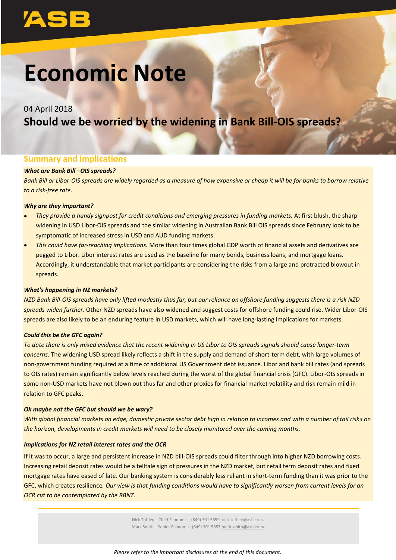# **Economic Note**

## 04 April 2018 **Should we be worried by the widening in Bank Bill-OIS spreads?**

### **Summary and implications**

#### *What are Bank Bill –OIS spreads?*

*Bank Bill or Libor-OIS spreads are widely regarded as a measure of how expensive or cheap it will be for banks to borrow relative to a risk-free rate.* 

#### *Why are they important?*

- *They provide a handy signpost for credit conditions and emerging pressures in funding markets.* At first blush, the sharp widening in USD Libor-OIS spreads and the similar widening in Australian Bank Bill OIS spreads since February look to be symptomatic of increased stress in USD and AUD funding markets.
- *This could have far-reaching implications.* More than four times global GDP worth of financial assets and derivatives are pegged to Libor. Libor interest rates are used as the baseline for many bonds, business loans, and mortgage loans. Accordingly, it understandable that market participants are considering the risks from a large and protracted blowout in spreads.

#### *What's happening in NZ markets?*

*NZD Bank Bill-OIS spreads have only lifted modestly thus far, but our reliance on offshore funding suggests there is a risk NZD spreads widen further.* Other NZD spreads have also widened and suggest costs for offshore funding could rise. Wider Libor-OIS spreads are also likely to be an enduring feature in USD markets, which will have long-lasting implications for markets.

#### *Could this be the GFC again?*

*To date there is only mixed evidence that the recent widening in US Libor to OIS spreads signals should cause longer-term concerns.* The widening USD spread likely reflects a shift in the supply and demand of short-term debt, with large volumes of non-government funding required at a time of additional US Government debt issuance. Libor and bank bill rates (and spreads to OIS rates) remain significantly below levels reached during the worst of the global financial crisis (GFC). Libor-OIS spreads in some non**-**USD markets have not blown out thus far and other proxies for financial market volatility and risk remain mild in relation to GFC peaks.

#### *Ok maybe not the GFC but should we be wary?*

*With global financial markets on edge, domestic private sector debt high in relation to incomes and with a number of tail risks on the horizon, developments in credit markets will need to be closely monitored over the coming months.*

#### *Implications for NZ retail interest rates and the OCR*

If it was to occur, a large and persistent increase in NZD bill-OIS spreads could filter through into higher NZD borrowing costs. Increasing retail deposit rates would be a telltale sign of pressures in the NZD market, but retail term deposit rates and fixed mortgage rates have eased of late. Our banking system is considerably less reliant in short-term funding than it was prior to the GFC, which creates resilience*. Our view is that funding conditions would have to significantly worsen from current levels for an OCR cut to be contemplated by the RBNZ.*

> Nick Tuffley - Chief Economist (649) 301 5659 [nick.tuffley@asb.co.nz](mailto:nick.tuffley@asb.co.nz) Mark Smith – Senior Economist (649) 301 5657 mark.smith@asb.co.nz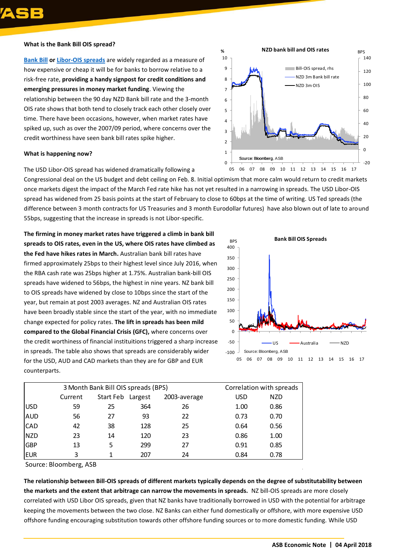

#### **What is the Bank Bill OIS spread?**

**[Bank Bill](https://www.deposits.org/dictionary/term/bank-bill/) o[r Libor-OIS spreads](https://www.investopedia.com/articles/active-trading/061114/what-ois-libor-spread-and-what-it.asp)** are widely regarded as a measure of how expensive or cheap it will be for banks to borrow relative to a risk-free rate, **providing a handy signpost for credit conditions and emerging pressures in money market funding**. Viewing the relationship between the 90 day NZD Bank bill rate and the 3-month OIS rate shows that both tend to closely track each other closely over time. There have been occasions, however, when market rates have spiked up, such as over the 2007/09 period, where concerns over the credit worthiness have seen bank bill rates spike higher.

#### **What is happening now?**

The USD Libor-OIS spread has widened dramatically following a

Congressional deal on the US budget and debt ceiling on Feb. 8. Initial optimism that more calm would return to credit markets once markets digest the impact of the March Fed rate hike has not yet resulted in a narrowing in spreads. The USD Libor-OIS spread has widened from 25 basis points at the start of February to close to 60bps at the time of writing. US Ted spreads (the difference between 3 month contracts for US Treasuries and 3 month Eurodollar futures) have also blown out of late to around 55bps, suggesting that the increase in spreads is not Libor-specific.

**The firming in money market rates have triggered a climb in bank bill spreads to OIS rates, even in the US, where OIS rates have climbed as the Fed have hikes rates in March.** Australian bank bill rates have firmed approximately 25bps to their highest level since July 2016, when the RBA cash rate was 25bps higher at 1.75%. Australian bank-bill OIS spreads have widened to 56bps, the highest in nine years. NZ bank bill to OIS spreads have widened by close to 10bps since the start of the year, but remain at post 2003 averages. NZ and Australian OIS rates have been broadly stable since the start of the year, with no immediate change expected for policy rates. **The lift in spreads has been mild compared to the Global Financial Crisis (GFC),** where concerns over the credit worthiness of financial instituitions triggered a sharp increase in spreads. The table also shows that spreads are considerably wider for the USD, AUD and CAD markets than they are for GBP and EUR counterparts.



|             | 3 Month Bank Bill OIS spreads (BPS) |                   |     |              |            | Correlation with spreads |  |
|-------------|-------------------------------------|-------------------|-----|--------------|------------|--------------------------|--|
|             | Current                             | Start Feb Largest |     | 2003-average | <b>USD</b> | <b>NZD</b>               |  |
| <b>IUSD</b> | 59                                  | 25                | 364 | 26           | 1.00       | 0.86                     |  |
| <b>AUD</b>  | 56                                  | 27                | 93  | 22           | 0.73       | 0.70                     |  |
| <b>CAD</b>  | 42                                  | 38                | 128 | 25           | 0.64       | 0.56                     |  |
| <b>NZD</b>  | 23                                  | 14                | 120 | 23           | 0.86       | 1.00                     |  |
| <b>GBP</b>  | 13                                  | 5                 | 299 | 27           | 0.91       | 0.85                     |  |
| <b>EUR</b>  | 3                                   |                   | 207 | 24           | 0.84       | 0.78                     |  |

Source: Bloomberg, ASB

**The relationship between Bill-OIS spreads of different markets typically depends on the degree of substitutability between the markets and the extent that arbitrage can narrow the movements in spreads.** NZ bill-OIS spreads are more closely correlated with USD Libor OIS spreads, given that NZ banks have traditionally borrowed in USD with the potential for arbitrage keeping the movements between the two close. NZ Banks can either fund domestically or offshore, with more expensive USD offshore funding encouraging substitution towards other offshore funding sources or to more domestic funding. While USD

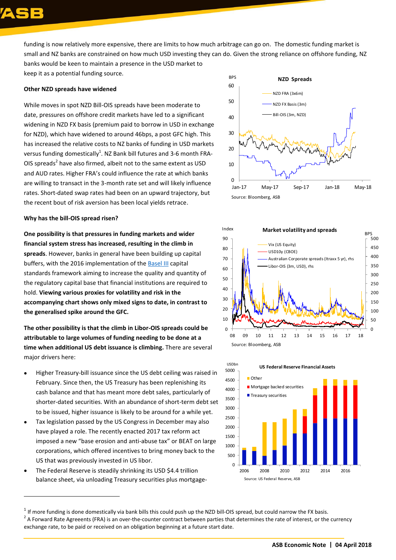funding is now relatively more expensive, there are limits to how much arbitrage can go on. The domestic funding market is small and NZ banks are constrained on how much USD investing they can do. Given the strong reliance on offshore funding, NZ banks would be keen to maintain a presence in the USD market to

keep it as a potential funding source.

#### **Other NZD spreads have widened**

While moves in spot NZD Bill-OIS spreads have been moderate to date, pressures on offshore credit markets have led to a significant widening in NZD FX basis (premium paid to borrow in USD in exchange for NZD), which have widened to around 46bps, a post GFC high. This has increased the relative costs to NZ banks of funding in USD markets versus funding domestically $^1$ . NZ Bank bill futures and 3-6 month FRA-OIS spreads<sup>2</sup> have also firmed, albeit not to the same extent as USD and AUD rates. Higher FRA's could influence the rate at which banks are willing to transact in the 3-month rate set and will likely influence rates. Short-dated swap rates had been on an upward trajectory, but the recent bout of risk aversion has been local yields retrace.

#### **Why has the bill-OIS spread risen?**

**One possibility is that pressures in funding markets and wider financial system stress has increased, resulting in the climb in spreads**. However, banks in general have been building up capital buffers, with the 2016 implementation of the [Basel III](https://www.bis.org/bcbs/publ/d339.pdf) capital standards framework aiming to increase the quality and quantity of the regulatory capital base that financial institutions are required to hold. **Viewing various proxies for volatility and risk in the accompanying chart shows only mixed signs to date, in contrast to the generalised spike around the GFC.**

**The other possibility is that the climb in Libor-OIS spreads could be attributable to large volumes of funding needing to be done at a time when additional US debt issuance is climbing.** There are several major drivers here:

- Higher Treasury-bill issuance since the US debt ceiling was raised in February. Since then, the US Treasury has been replenishing its cash balance and that has meant more debt sales, particularly of shorter-dated securities. With an abundance of short-term debt set to be issued, higher issuance is likely to be around for a while yet.
- Tax legislation passed by the US Congress in December may also have played a role. The recently enacted 2017 tax reform act imposed a new "base erosion and anti-abuse tax" or BEAT on large corporations, which offered incentives to bring money back to the US that was previously invested in US libor.
- The Federal Reserve is steadily shrinking its USD \$4.4 trillion balance sheet, via unloading Treasury securities plus mortgage-

 $\overline{a}$ 







 $^1$  If more funding is done domestically via bank bills this could push up the NZD bill-OIS spread, but could narrow the FX basis.

 $^2$  A Forward Rate Agreeents (FRA) is an over-the-counter contract between parties that determines the rate of interest, or the currency [exchange](https://www.investopedia.com/terms/c/currency-exchange.asp) rate, to be paid or received on an obligation beginning at a future start date.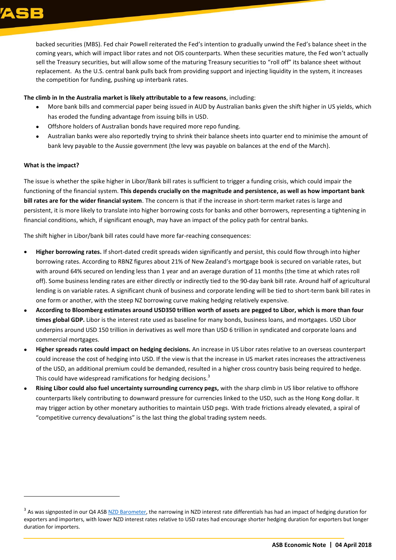

backed securities (MBS). Fed chair Powell reiterated the Fed's intention to gradually unwind the Fed's balance sheet in the coming years, which will impact libor rates and not OIS counterparts. When these securities mature, the Fed won't actually sell the Treasury securities, but will allow some of the maturing Treasury securities to "roll off" its balance sheet without replacement. As the U.S. central bank pulls back from providing support and injecting liquidity in the system, it increases the competition for funding, pushing up interbank rates.

#### **The climb in In the Australia market is likely attributable to a few reasons**, including:

- More bank bills and commercial paper being issued in AUD by Australian banks given the shift higher in US yields, which has eroded the funding advantage from issuing bills in USD.
- Offshore holders of Australian bonds have required more repo funding.
- Australian banks were also reportedly trying to shrink their balance sheets into quarter end to minimise the amount of bank levy payable to the Aussie government (the levy was payable on balances at the end of the March).

#### **What is the impact?**

 $\overline{a}$ 

The issue is whether the spike higher in Libor/Bank bill rates is sufficient to trigger a funding crisis, which could impair the functioning of the financial system. **This depends crucially on the magnitude and persistence, as well as how important bank bill rates are for the wider financial system**. The concern is that if the increase in short-term market rates is large and persistent, it is more likely to translate into higher borrowing costs for banks and other borrowers, representing a tightening in financial conditions, which, if significant enough, may have an impact of the policy path for central banks.

The shift higher in Libor/bank bill rates could have more far-reaching consequences:

- **Higher borrowing rates.** If short-dated credit spreads widen significantly and persist, this could flow through into higher borrowing rates. According to RBNZ figures about 21% of New Zealand's mortgage book is secured on variable rates, but with around 64% secured on lending less than 1 year and an average duration of 11 months (the time at which rates roll off). Some business lending rates are either directly or indirectly tied to the 90-day bank bill rate. Around half of agricultural lending is on variable rates. A significant chunk of business and corporate lending will be tied to short-term bank bill rates in one form or another, with the steep NZ borrowing curve making hedging relatively expensive.
- **According to Bloomberg estimates around USD350 trillion worth of assets are pegged to Libor, which is more than four times global GDP.** Libor is the interest rate used as baseline for many bonds, business loans, and mortgages. USD Libor underpins around USD 150 trillion in derivatives as well more than USD 6 trillion in syndicated and corporate loans and commercial mortgages.
- **Higher spreads rates could impact on hedging decisions.** An increase in US Libor rates relative to an overseas counterpart could increase the cost of hedging into USD. If the view is that the increase in US market rates increases the attractiveness of the USD, an additional premium could be demanded, resulted in a higher cross country basis being required to hedge. This could have widespread ramifications for hedging decisions.<sup>3</sup>
- **Rising Libor could also fuel uncertainty surrounding currency pegs,** with the sharp climb in US libor relative to offshore counterparts likely contributing to downward pressure for currencies linked to the USD, such as the Hong Kong dollar. It may trigger action by other monetary authorities to maintain USD pegs. With trade frictions already elevated, a spiral of "competitive currency devaluations" is the last thing the global trading system needs.

<sup>&</sup>lt;sup>3</sup> As was signposted in our Q4 ASB <u>NZD Barometer</u>, the narrowing in NZD interest rate differentials has had an impact of hedging duration for exporters and importers, with lower NZD interest rates relative to USD rates had encourage shorter hedging duration for exporters but longer duration for importers.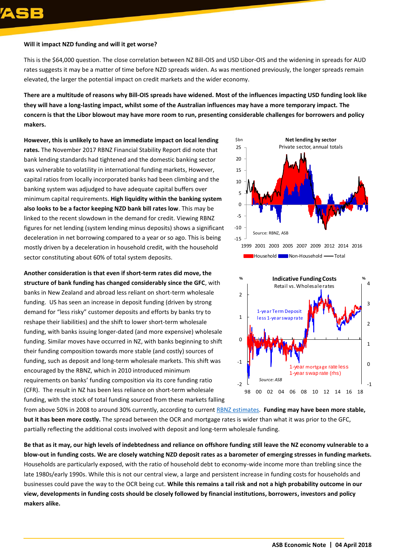#### **Will it impact NZD funding and will it get worse?**

This is the \$64,000 question. The close correlation between NZ Bill-OIS and USD Libor-OIS and the widening in spreads for AUD rates suggests it may be a matter of time before NZD spreads widen. As was mentioned previously, the longer spreads remain elevated, the larger the potential impact on credit markets and the wider economy.

**There are a multitude of reasons why Bill-OIS spreads have widened. Most of the influences impacting USD funding look like they will have a long-lasting impact, whilst some of the Australian influences may have a more temporary impact. The concern is that the Libor blowout may have more room to run, presenting considerable challenges for borrowers and policy makers.** 

**However, this is unlikely to have an immediate impact on local lending rates.** The November 2017 RBNZ Financial Stability Report did note that bank lending standards had tightened and the domestic banking sector was vulnerable to volatility in international funding markets, However, capital ratios from locally incorporated banks had been climbing and the banking system was adjudged to have adequate capital buffers over minimum capital requirements. **High liquidity within the banking system also looks to be a factor keeping NZD bank bill rates low**. This may be linked to the recent slowdown in the demand for credit. Viewing RBNZ figures for net lending (system lending minus deposits) shows a significant deceleration in net borrowing compared to a year or so ago. This is being mostly driven by a deceleration in household credit, with the household sector constituting about 60% of total system deposits.

**Another consideration is that even if short-term rates did move, the structure of bank funding has changed considerably since the GFC**, with banks in New Zealand and abroad less reliant on short-term wholesale funding. US has seen an increase in deposit funding (driven by strong demand for "less risky" customer deposits and efforts by banks try to reshape their liabilities) and the shift to lower short-term wholesale funding, with banks issuing longer-dated (and more expensive) wholesale funding. Similar moves have occurred in NZ, with banks beginning to shift their funding composition towards more stable (and costly) sources of funding, such as deposit and long-term wholesale markets. This shift was encouraged by the RBNZ, which in 2010 introduced minimum requirements on banks' funding composition via its core funding ratio (CFR). The result in NZ has been less reliance on short-term wholesale funding, with the stock of total funding sourced from these markets falling





from above 50% in 2008 to around 30% currently, according to curren[t RBNZ estimates.](http://www.rbnz.govt.nz/-/media/ReserveBank/Files/Publications/Analytical%20notes/2018/an2018-02.pdf) **Funding may have been more stable, but it has been more costly.** The spread between the OCR and mortgage rates is wider than what it was prior to the GFC, partially reflecting the additional costs involved with deposit and long-term wholesale funding.

**Be that as it may, our high levels of indebtedness and reliance on offshore funding still leave the NZ economy vulnerable to a blow-out in funding costs. We are closely watching NZD deposit rates as a barometer of emerging stresses in funding markets.** Households are particularly exposed, with the ratio of household debt to economy-wide income more than trebling since the late 1980s/early 1990s. While this is not our central view, a large and persistent increase in funding costs for households and businesses could pave the way to the OCR being cut. **While this remains a tail risk and not a high probability outcome in our view, developments in funding costs should be closely followed by financial institutions, borrowers, investors and policy makers alike.**